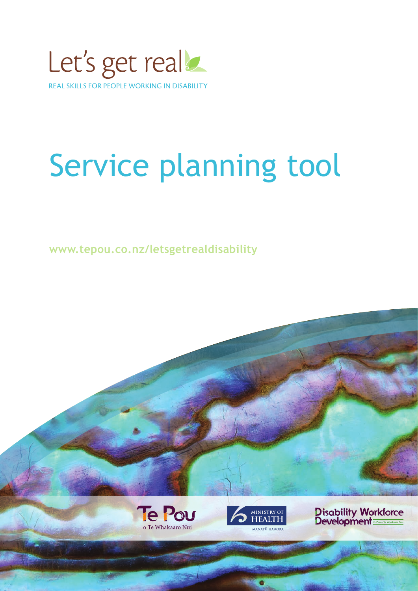

### Service planning tool

**www.tepou.co.nz/letsgetrealdisability**





**Disability Workforce**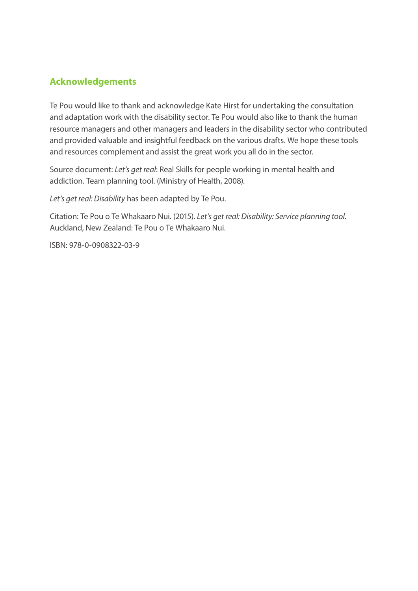#### **Acknowledgements**

Te Pou would like to thank and acknowledge Kate Hirst for undertaking the consultation and adaptation work with the disability sector. Te Pou would also like to thank the human resource managers and other managers and leaders in the disability sector who contributed and provided valuable and insightful feedback on the various drafts. We hope these tools and resources complement and assist the great work you all do in the sector.

Source document: *Let's get real*: Real Skills for people working in mental health and addiction. Team planning tool. (Ministry of Health, 2008).

*Let's get real: Disability* has been adapted by Te Pou.

Citation: Te Pou o Te Whakaaro Nui. (2015). *Let's get real: Disability: Service planning tool.* Auckland, New Zealand: Te Pou o Te Whakaaro Nui.

ISBN: 978-0-0908322-03-9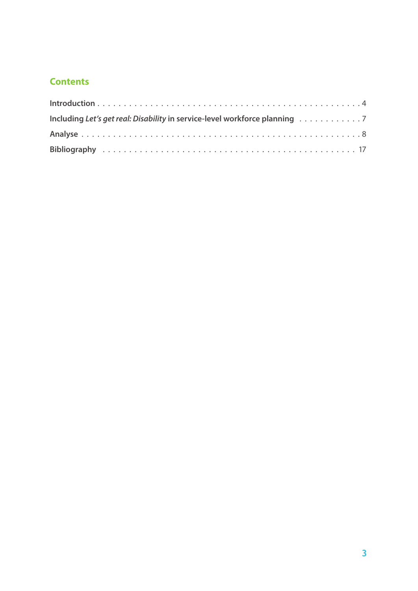#### **Contents**

| Including Let's get real: Disability in service-level workforce planning 7 |  |
|----------------------------------------------------------------------------|--|
|                                                                            |  |
|                                                                            |  |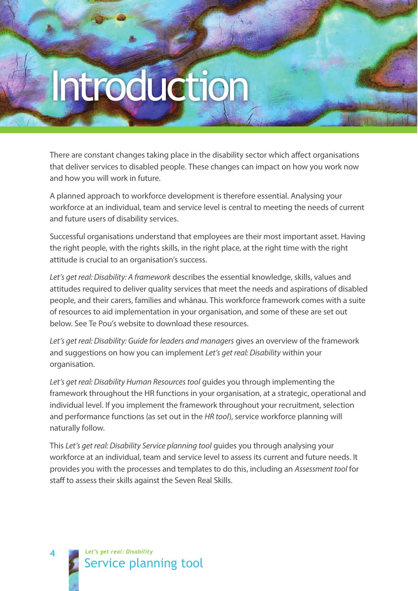# Introduction

There are constant changes taking place in the disability sector which affect organisations that deliver services to disabled people. These changes can impact on how you work now and how you will work in future.

A planned approach to workforce development is therefore essential. Analysing your workforce at an individual, team and service level is central to meeting the needs of current and future users of disability services.

Successful organisations understand that employees are their most important asset. Having the right people, with the rights skills, in the right place, at the right time with the right attitude is crucial to an organisation's success.

*Let's get real: Disability: A framework* describes the essential knowledge, skills, values and attitudes required to deliver quality services that meet the needs and aspirations of disabled people, and their carers, families and whānau. This workforce framework comes with a suite of resources to aid implementation in your organisation, and some of these are set out below. See Te Pou's website to download these resources.

*Let's get real: Disability: Guide for leaders and managers* gives an overview of the framework and suggestions on how you can implement *Let's get real: Disability* within your organisation.

*Let's get real: Disability Human Resources tool* guides you through implementing the framework throughout the HR functions in your organisation, at a strategic, operational and individual level. If you implement the framework throughout your recruitment, selection and performance functions (as set out in the *HR tool*), service workforce planning will naturally follow.

This *Let's get real: Disability Service planning tool* guides you through analysing your workforce at an individual, team and service level to assess its current and future needs. It provides you with the processes and templates to do this, including an *Assessment tool* for staff to assess their skills against the Seven Real Skills.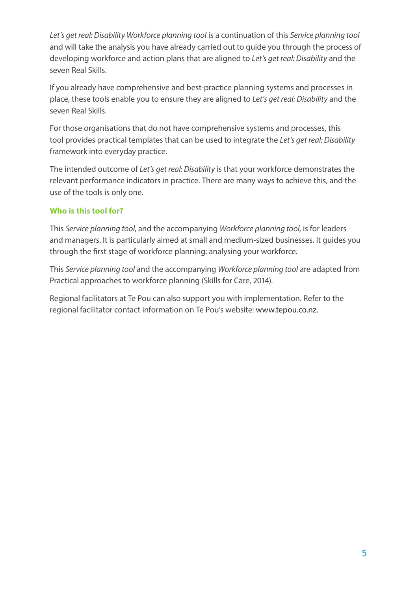*Let's get real: Disability Workforce planning tool* is a continuation of this *Service planning tool* and will take the analysis you have already carried out to guide you through the process of developing workforce and action plans that are aligned to *Let's get real: Disability* and the seven Real Skills.

If you already have comprehensive and best-practice planning systems and processes in place, these tools enable you to ensure they are aligned to *Let's get real: Disability* and the seven Real Skills.

For those organisations that do not have comprehensive systems and processes, this tool provides practical templates that can be used to integrate the *Let's get real: Disability* framework into everyday practice.

The intended outcome of *Let's get real: Disability* is that your workforce demonstrates the relevant performance indicators in practice. There are many ways to achieve this, and the use of the tools is only one.

#### **Who is this tool for?**

This *Service planning tool*, and the accompanying *Workforce planning tool*, is for leaders and managers. It is particularly aimed at small and medium-sized businesses. It guides you through the first stage of workforce planning: analysing your workforce.

This *Service planning tool* and the accompanying *Workforce planning tool* are adapted from Practical approaches to workforce planning (Skills for Care, 2014).

Regional facilitators at Te Pou can also support you with implementation. Refer to the regional facilitator contact information on Te Pou's website: www.tepou.co.nz.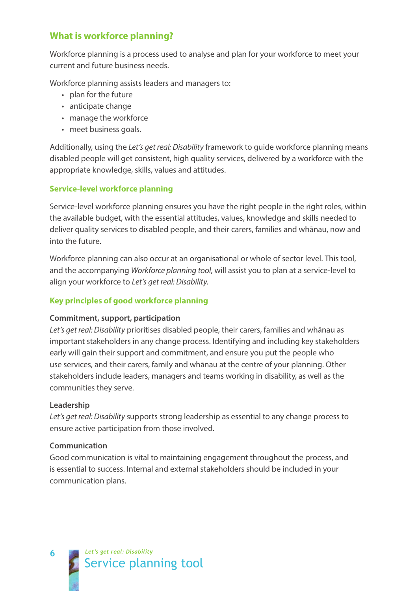#### **What is workforce planning?**

Workforce planning is a process used to analyse and plan for your workforce to meet your current and future business needs.

Workforce planning assists leaders and managers to:

- plan for the future
- anticipate change
- manage the workforce
- meet business goals.

Additionally, using the *Let's get real: Disability* framework to guide workforce planning means disabled people will get consistent, high quality services, delivered by a workforce with the appropriate knowledge, skills, values and attitudes.

#### **Service-level workforce planning**

Service-level workforce planning ensures you have the right people in the right roles, within the available budget, with the essential attitudes, values, knowledge and skills needed to deliver quality services to disabled people, and their carers, families and whānau, now and into the future.

Workforce planning can also occur at an organisational or whole of sector level. This tool, and the accompanying *Workforce planning tool*, will assist you to plan at a service-level to align your workforce to *Let's get real: Disability.*

#### **Key principles of good workforce planning**

#### **Commitment, support, participation**

*Let's get real: Disability* prioritises disabled people, their carers, families and whānau as important stakeholders in any change process. Identifying and including key stakeholders early will gain their support and commitment, and ensure you put the people who use services, and their carers, family and whānau at the centre of your planning. Other stakeholders include leaders, managers and teams working in disability, as well as the communities they serve.

#### **Leadership**

*Let's get real: Disability* supports strong leadership as essential to any change process to ensure active participation from those involved.

#### **Communication**

Good communication is vital to maintaining engagement throughout the process, and is essential to success. Internal and external stakeholders should be included in your communication plans.

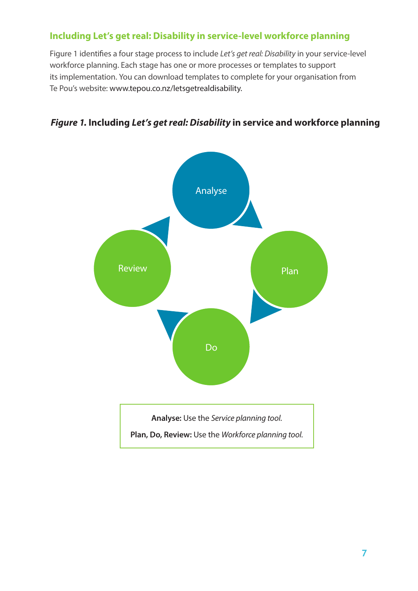#### **Including Let's get real: Disability in service-level workforce planning**

Figure 1 identifies a four stage process to include *Let's get real: Disability* in your service-level workforce planning. Each stage has one or more processes or templates to support its implementation. You can download templates to complete for your organisation from Te Pou's website: www.tepou.co.nz/letsgetrealdisability.

#### *Figure 1.* **Including** *Let's get real: Disability* **in service and workforce planning**

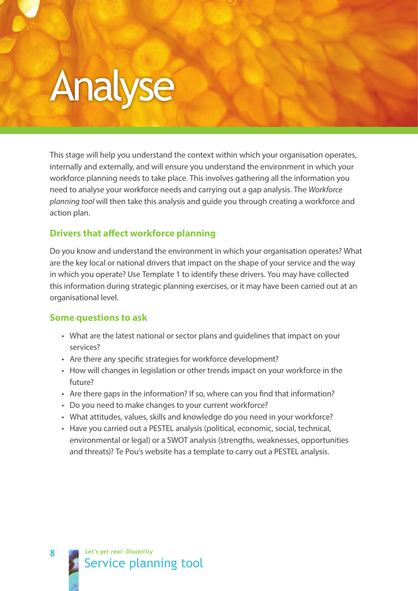## Analyse

This stage will help you understand the context within which your organisation operates, internally and externally, and will ensure you understand the environment in which your workforce planning needs to take place. This involves gathering all the information you need to analyse your workforce needs and carrying out a gap analysis. The *Workforce planning tool* will then take this analysis and guide you through creating a workforce and action plan.

#### **Drivers that affect workforce planning**

Do you know and understand the environment in which your organisation operates? What are the key local or national drivers that impact on the shape of your service and the way in which you operate? Use Template 1 to identify these drivers. You may have collected this information during strategic planning exercises, or it may have been carried out at an organisational level.

#### **Some questions to ask**

- What are the latest national or sector plans and guidelines that impact on your services?
- Are there any specific strategies for workforce development?
- How will changes in legislation or other trends impact on your workforce in the future?
- Are there gaps in the information? If so, where can you find that information?
- Do you need to make changes to your current workforce?
- What attitudes, values, skills and knowledge do you need in your workforce?
- Have you carried out a PESTEL analysis (political, economic, social, technical, environmental or legal) or a SWOT analysis (strengths, weaknesses, opportunities and threats)? Te Pou's website has a template to carry out a PESTEL analysis.

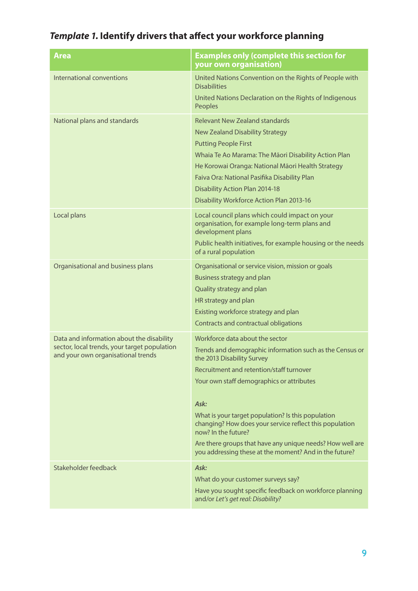#### *Template 1.* **Identify drivers that affect your workforce planning**

| <b>Area</b>                                                                                                                     | <b>Examples only (complete this section for</b><br>your own organisation)                                                                                                                                                                                                                                                                                                                                                                                                                 |
|---------------------------------------------------------------------------------------------------------------------------------|-------------------------------------------------------------------------------------------------------------------------------------------------------------------------------------------------------------------------------------------------------------------------------------------------------------------------------------------------------------------------------------------------------------------------------------------------------------------------------------------|
| International conventions                                                                                                       | United Nations Convention on the Rights of People with<br><b>Disabilities</b><br>United Nations Declaration on the Rights of Indigenous<br>Peoples                                                                                                                                                                                                                                                                                                                                        |
| National plans and standards                                                                                                    | <b>Relevant New Zealand standards</b><br><b>New Zealand Disability Strategy</b><br><b>Putting People First</b><br>Whaia Te Ao Marama: The Māori Disability Action Plan<br>He Korowai Oranga: National Māori Health Strategy<br>Faiva Ora: National Pasifika Disability Plan<br><b>Disability Action Plan 2014-18</b><br>Disability Workforce Action Plan 2013-16                                                                                                                          |
| Local plans                                                                                                                     | Local council plans which could impact on your<br>organisation, for example long-term plans and<br>development plans<br>Public health initiatives, for example housing or the needs<br>of a rural population                                                                                                                                                                                                                                                                              |
| Organisational and business plans                                                                                               | Organisational or service vision, mission or goals<br>Business strategy and plan<br>Quality strategy and plan<br>HR strategy and plan<br>Existing workforce strategy and plan<br>Contracts and contractual obligations                                                                                                                                                                                                                                                                    |
| Data and information about the disability<br>sector, local trends, your target population<br>and your own organisational trends | Workforce data about the sector<br>Trends and demographic information such as the Census or<br>the 2013 Disability Survey<br>Recruitment and retention/staff turnover<br>Your own staff demographics or attributes<br>Ask:<br>What is your target population? Is this population<br>changing? How does your service reflect this population<br>now? In the future?<br>Are there groups that have any unique needs? How well are<br>you addressing these at the moment? And in the future? |
| Stakeholder feedback                                                                                                            | Ask:<br>What do your customer surveys say?<br>Have you sought specific feedback on workforce planning<br>and/or Let's get real: Disability?                                                                                                                                                                                                                                                                                                                                               |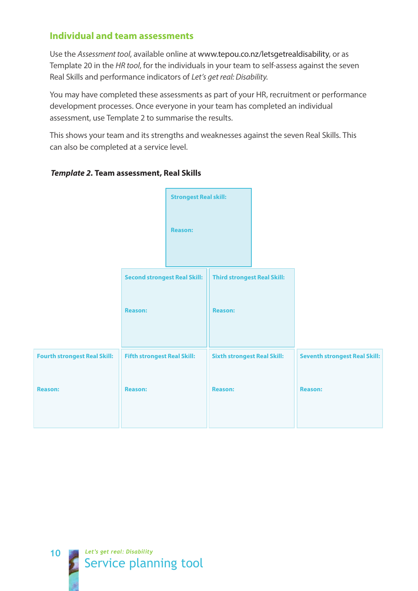#### **Individual and team assessments**

Use the *Assessment tool*, available online at www.tepou.co.nz/letsgetrealdisability, or as Template 20 in the *HR tool*, for the individuals in your team to self-assess against the seven Real Skills and performance indicators of *Let's get real: Disability.* 

You may have completed these assessments as part of your HR, recruitment or performance development processes. Once everyone in your team has completed an individual assessment, use Template 2 to summarise the results.

This shows your team and its strengths and weaknesses against the seven Real Skills. This can also be completed at a service level.



#### *Template 2.* **Team assessment, Real Skills**

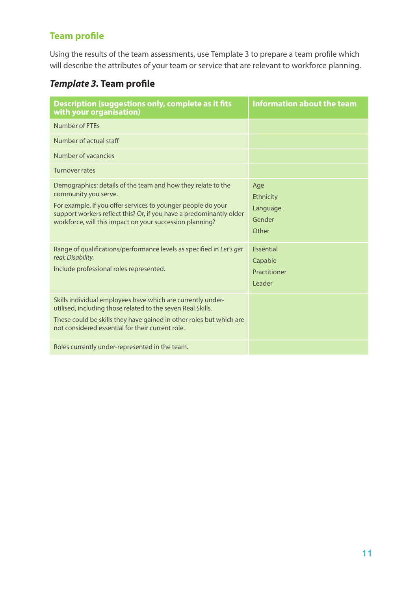#### **Team profile**

Using the results of the team assessments, use Template 3 to prepare a team profile which will describe the attributes of your team or service that are relevant to workforce planning.

#### *Template 3.* **Team profile**

| Description (suggestions only, complete as it fits<br>with your organisation)                                                                                                                                                                                                           | Information about the team                            |
|-----------------------------------------------------------------------------------------------------------------------------------------------------------------------------------------------------------------------------------------------------------------------------------------|-------------------------------------------------------|
| Number of FTFs                                                                                                                                                                                                                                                                          |                                                       |
| Number of actual staff                                                                                                                                                                                                                                                                  |                                                       |
| Number of vacancies                                                                                                                                                                                                                                                                     |                                                       |
| Turnover rates                                                                                                                                                                                                                                                                          |                                                       |
| Demographics: details of the team and how they relate to the<br>community you serve.<br>For example, if you offer services to younger people do your<br>support workers reflect this? Or, if you have a predominantly older<br>workforce, will this impact on your succession planning? | Age<br>Ethnicity<br>Language<br>Gender<br>Other       |
| Range of qualifications/performance levels as specified in Let's get<br>real: Disability.<br>Include professional roles represented.                                                                                                                                                    | <b>Essential</b><br>Capable<br>Practitioner<br>Leader |
| Skills individual employees have which are currently under-<br>utilised, including those related to the seven Real Skills.<br>These could be skills they have gained in other roles but which are<br>not considered essential for their current role.                                   |                                                       |
| Roles currently under-represented in the team.                                                                                                                                                                                                                                          |                                                       |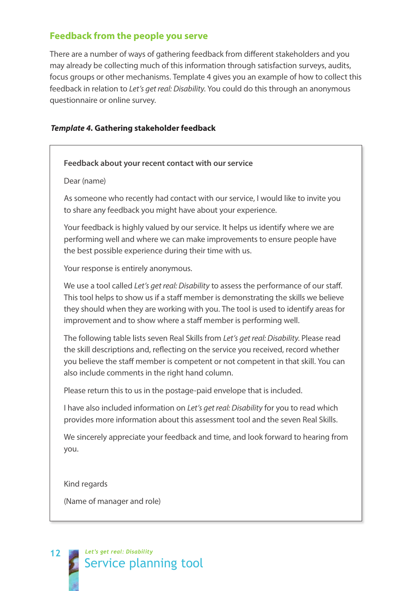#### **Feedback from the people you serve**

There are a number of ways of gathering feedback from different stakeholders and you may already be collecting much of this information through satisfaction surveys, audits, focus groups or other mechanisms. Template 4 gives you an example of how to collect this feedback in relation to *Let's get real: Disability*. You could do this through an anonymous questionnaire or online survey.

#### *Template 4.* **Gathering stakeholder feedback**

#### **Feedback about your recent contact with our service**

#### Dear (name)

As someone who recently had contact with our service, I would like to invite you to share any feedback you might have about your experience.

Your feedback is highly valued by our service. It helps us identify where we are performing well and where we can make improvements to ensure people have the best possible experience during their time with us.

Your response is entirely anonymous.

We use a tool called *Let's get real: Disability* to assess the performance of our staff. This tool helps to show us if a staff member is demonstrating the skills we believe they should when they are working with you. The tool is used to identify areas for improvement and to show where a staff member is performing well.

The following table lists seven Real Skills from *Let's get real: Disability*. Please read the skill descriptions and, reflecting on the service you received, record whether you believe the staff member is competent or not competent in that skill. You can also include comments in the right hand column.

Please return this to us in the postage-paid envelope that is included.

I have also included information on *Let's get real: Disability* for you to read which provides more information about this assessment tool and the seven Real Skills.

We sincerely appreciate your feedback and time, and look forward to hearing from you.

Kind regards

(Name of manager and role)

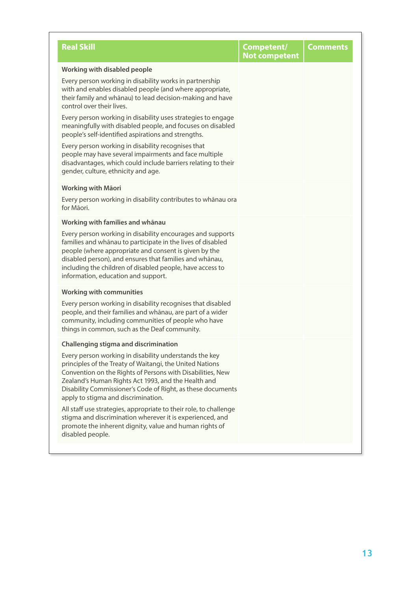| <b>Real Skill</b>                                                                                                                                                                                                                                                                                                                                 | Competent/<br><b>Not competent</b> | <b>Comments</b> |
|---------------------------------------------------------------------------------------------------------------------------------------------------------------------------------------------------------------------------------------------------------------------------------------------------------------------------------------------------|------------------------------------|-----------------|
| <b>Working with disabled people</b>                                                                                                                                                                                                                                                                                                               |                                    |                 |
| Every person working in disability works in partnership<br>with and enables disabled people (and where appropriate,<br>their family and whānau) to lead decision-making and have<br>control over their lives.                                                                                                                                     |                                    |                 |
| Every person working in disability uses strategies to engage<br>meaningfully with disabled people, and focuses on disabled<br>people's self-identified aspirations and strengths.                                                                                                                                                                 |                                    |                 |
| Every person working in disability recognises that<br>people may have several impairments and face multiple<br>disadvantages, which could include barriers relating to their<br>gender, culture, ethnicity and age.                                                                                                                               |                                    |                 |
| <b>Working with Mäori</b>                                                                                                                                                                                                                                                                                                                         |                                    |                 |
| Every person working in disability contributes to whānau ora<br>for Māori.                                                                                                                                                                                                                                                                        |                                    |                 |
| Working with families and whanau                                                                                                                                                                                                                                                                                                                  |                                    |                 |
| Every person working in disability encourages and supports<br>families and whānau to participate in the lives of disabled<br>people (where appropriate and consent is given by the<br>disabled person), and ensures that families and whānau,<br>including the children of disabled people, have access to<br>information, education and support. |                                    |                 |
| <b>Working with communities</b>                                                                                                                                                                                                                                                                                                                   |                                    |                 |
| Every person working in disability recognises that disabled<br>people, and their families and whānau, are part of a wider<br>community, including communities of people who have<br>things in common, such as the Deaf community.                                                                                                                 |                                    |                 |
| <b>Challenging stigma and discrimination</b>                                                                                                                                                                                                                                                                                                      |                                    |                 |
| Every person working in disability understands the key<br>principles of the Treaty of Waitangi, the United Nations<br>Convention on the Rights of Persons with Disabilities, New<br>Zealand's Human Rights Act 1993, and the Health and<br>Disability Commissioner's Code of Right, as these documents<br>apply to stigma and discrimination.     |                                    |                 |
| All staff use strategies, appropriate to their role, to challenge<br>stigma and discrimination wherever it is experienced, and<br>promote the inherent dignity, value and human rights of<br>disabled people.                                                                                                                                     |                                    |                 |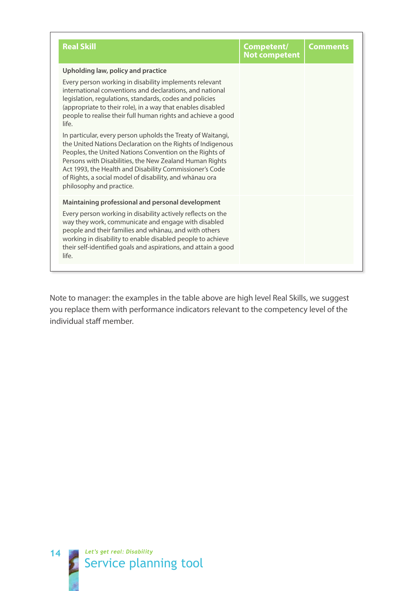| <b>Real Skill</b>                                                                                                                                                                                                                                                                                                                                                                                 | Competent/<br><b>Not competent</b> | <b>Comments</b> |
|---------------------------------------------------------------------------------------------------------------------------------------------------------------------------------------------------------------------------------------------------------------------------------------------------------------------------------------------------------------------------------------------------|------------------------------------|-----------------|
| Upholding law, policy and practice                                                                                                                                                                                                                                                                                                                                                                |                                    |                 |
| Every person working in disability implements relevant<br>international conventions and declarations, and national<br>legislation, regulations, standards, codes and policies<br>(appropriate to their role), in a way that enables disabled<br>people to realise their full human rights and achieve a good<br>life.                                                                             |                                    |                 |
| In particular, every person upholds the Treaty of Waitangi,<br>the United Nations Declaration on the Rights of Indigenous<br>Peoples, the United Nations Convention on the Rights of<br>Persons with Disabilities, the New Zealand Human Rights<br>Act 1993, the Health and Disability Commissioner's Code<br>of Rights, a social model of disability, and whānau ora<br>philosophy and practice. |                                    |                 |
| Maintaining professional and personal development                                                                                                                                                                                                                                                                                                                                                 |                                    |                 |
| Every person working in disability actively reflects on the<br>way they work, communicate and engage with disabled<br>people and their families and whānau, and with others<br>working in disability to enable disabled people to achieve<br>their self-identified goals and aspirations, and attain a good<br>life.                                                                              |                                    |                 |

Note to manager: the examples in the table above are high level Real Skills, we suggest you replace them with performance indicators relevant to the competency level of the individual staff member.

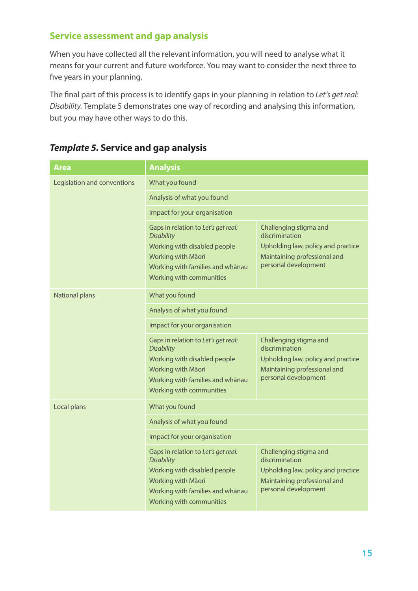#### **Service assessment and gap analysis**

When you have collected all the relevant information, you will need to analyse what it means for your current and future workforce. You may want to consider the next three to five years in your planning.

The final part of this process is to identify gaps in your planning in relation to *Let's get real: Disability*. Template 5 demonstrates one way of recording and analysing this information, but you may have other ways to do this.

| <b>Area</b>                 | <b>Analysis</b>                                                                                                                                                                |                                                                                                                                        |  |
|-----------------------------|--------------------------------------------------------------------------------------------------------------------------------------------------------------------------------|----------------------------------------------------------------------------------------------------------------------------------------|--|
| Legislation and conventions | What you found                                                                                                                                                                 |                                                                                                                                        |  |
|                             | Analysis of what you found                                                                                                                                                     |                                                                                                                                        |  |
|                             | Impact for your organisation                                                                                                                                                   |                                                                                                                                        |  |
|                             | Gaps in relation to Let's get real:<br><b>Disability</b><br>Working with disabled people<br>Working with Māori<br>Working with families and whānau<br>Working with communities | Challenging stigma and<br>discrimination<br>Upholding law, policy and practice<br>Maintaining professional and<br>personal development |  |
| <b>National plans</b>       | What you found                                                                                                                                                                 |                                                                                                                                        |  |
|                             | Analysis of what you found                                                                                                                                                     |                                                                                                                                        |  |
|                             | Impact for your organisation                                                                                                                                                   |                                                                                                                                        |  |
|                             | Gaps in relation to Let's get real:<br><b>Disability</b><br>Working with disabled people<br>Working with Māori<br>Working with families and whānau<br>Working with communities | Challenging stigma and<br>discrimination<br>Upholding law, policy and practice<br>Maintaining professional and<br>personal development |  |
| Local plans                 | What you found                                                                                                                                                                 |                                                                                                                                        |  |
|                             | Analysis of what you found                                                                                                                                                     |                                                                                                                                        |  |
|                             | Impact for your organisation                                                                                                                                                   |                                                                                                                                        |  |
|                             | Gaps in relation to Let's get real:<br><b>Disability</b><br>Working with disabled people<br>Working with Māori<br>Working with families and whānau<br>Working with communities | Challenging stigma and<br>discrimination<br>Upholding law, policy and practice<br>Maintaining professional and<br>personal development |  |

#### *Template 5.* **Service and gap analysis**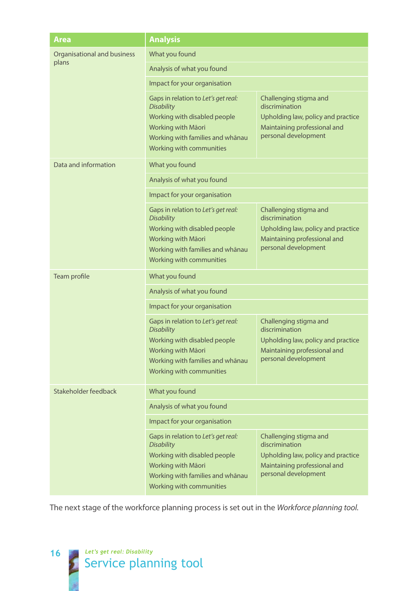| Area                                 | <b>Analysis</b>                                                                                                                                                                |                                                                                                                                        |  |
|--------------------------------------|--------------------------------------------------------------------------------------------------------------------------------------------------------------------------------|----------------------------------------------------------------------------------------------------------------------------------------|--|
| Organisational and business<br>plans | What you found                                                                                                                                                                 |                                                                                                                                        |  |
|                                      | Analysis of what you found                                                                                                                                                     |                                                                                                                                        |  |
|                                      | Impact for your organisation                                                                                                                                                   |                                                                                                                                        |  |
|                                      | Gaps in relation to Let's get real:<br><b>Disability</b><br>Working with disabled people<br>Working with Māori<br>Working with families and whānau<br>Working with communities | Challenging stigma and<br>discrimination<br>Upholding law, policy and practice<br>Maintaining professional and<br>personal development |  |
| Data and information                 | What you found                                                                                                                                                                 |                                                                                                                                        |  |
|                                      | Analysis of what you found                                                                                                                                                     |                                                                                                                                        |  |
|                                      | Impact for your organisation                                                                                                                                                   |                                                                                                                                        |  |
|                                      | Gaps in relation to Let's get real:<br><b>Disability</b><br>Working with disabled people<br>Working with Māori<br>Working with families and whānau<br>Working with communities | Challenging stigma and<br>discrimination<br>Upholding law, policy and practice<br>Maintaining professional and<br>personal development |  |
| Team profile                         | What you found                                                                                                                                                                 |                                                                                                                                        |  |
|                                      | Analysis of what you found                                                                                                                                                     |                                                                                                                                        |  |
|                                      | Impact for your organisation                                                                                                                                                   |                                                                                                                                        |  |
|                                      | Gaps in relation to Let's get real:<br><b>Disability</b><br>Working with disabled people<br>Working with Māori<br>Working with families and whānau<br>Working with communities | Challenging stigma and<br>discrimination<br>Upholding law, policy and practice<br>Maintaining professional and<br>personal development |  |
| Stakeholder feedback                 | What you found                                                                                                                                                                 |                                                                                                                                        |  |
|                                      | Analysis of what you found                                                                                                                                                     |                                                                                                                                        |  |
|                                      | Impact for your organisation                                                                                                                                                   |                                                                                                                                        |  |
|                                      | Gaps in relation to Let's get real:<br><b>Disability</b><br>Working with disabled people<br>Working with Māori<br>Working with families and whānau<br>Working with communities | Challenging stigma and<br>discrimination<br>Upholding law, policy and practice<br>Maintaining professional and<br>personal development |  |

The next stage of the workforce planning process is set out in the *Workforce planning tool.*

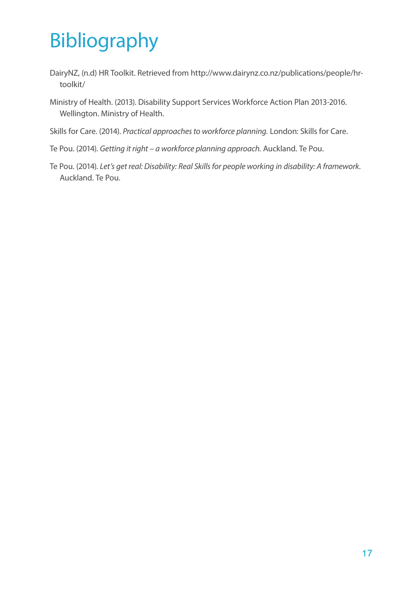### Bibliography

- DairyNZ, (n.d) HR Toolkit. Retrieved from http://www.dairynz.co.nz/publications/people/hrtoolkit/
- Ministry of Health. (2013). Disability Support Services Workforce Action Plan 2013-2016. Wellington. Ministry of Health.
- Skills for Care. (2014). *Practical approaches to workforce planning.* London: Skills for Care.
- Te Pou. (2014). *Getting it right a workforce planning approach.* Auckland. Te Pou.
- Te Pou. (2014). *Let's get real: Disability: Real Skills for people working in disability: A framework.* Auckland. Te Pou.